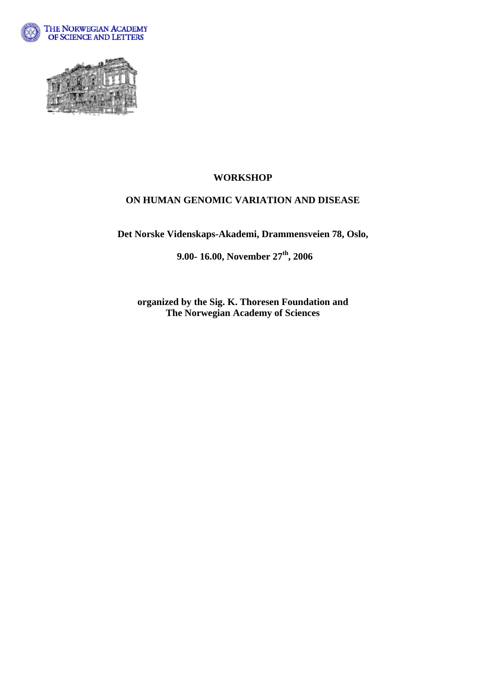



## **WORKSHOP**

## **ON HUMAN GENOMIC VARIATION AND DISEASE**

**Det Norske Videnskaps-Akademi, Drammensveien 78, Oslo,** 

 **9.00- 16.00, November 27th, 2006** 

**organized by the Sig. K. Thoresen Foundation and The Norwegian Academy of Sciences**